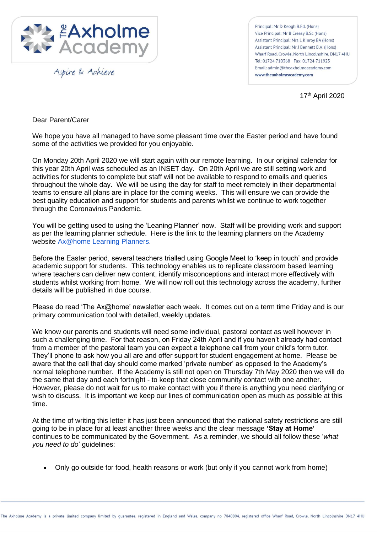

Aspire & Achieve

Principal: Mr D Keogh B.Ed. (Hons) Vice Principal: Mr B Creasy B.Sc (Hons) Assistant Principal: Mrs L Kinroy BA (Hons) Assistant Principal: Mr J Bennett B.A. (Hons) Wharf Road Crowle North Lincolnshire DN17 4HU Tel: 01724 710368 Fax: 01724 711923 Email: admin@theaxholmeacademy.com www.theaxholmeacademy.com

17 th April 2020

Dear Parent/Carer

We hope you have all managed to have some pleasant time over the Easter period and have found some of the activities we provided for you enjoyable.

On Monday 20th April 2020 we will start again with our remote learning. In our original calendar for this year 20th April was scheduled as an INSET day. On 20th April we are still setting work and activities for students to complete but staff will not be available to respond to emails and queries throughout the whole day. We will be using the day for staff to meet remotely in their departmental teams to ensure all plans are in place for the coming weeks. This will ensure we can provide the best quality education and support for students and parents whilst we continue to work together through the Coronavirus Pandemic.

You will be getting used to using the 'Leaning Planner' now. Staff will be providing work and support as per the learning planner schedule. Here is the link to the learning planners on the Academy website [Ax@home Learning Planners.](https://www.theaxholmeacademy.com/page/?title=Ax%40home+Learning+Planners&pid=231)

Before the Easter period, several teachers trialled using Google Meet to 'keep in touch' and provide academic support for students. This technology enables us to replicate classroom based learning where teachers can deliver new content, identify misconceptions and interact more effectively with students whilst working from home. We will now roll out this technology across the academy, further details will be published in due course.

Please do read 'The Ax@home' newsletter each week. It comes out on a term time Friday and is our primary communication tool with detailed, weekly updates.

We know our parents and students will need some individual, pastoral contact as well however in such a challenging time. For that reason, on Friday 24th April and if you haven't already had contact from a member of the pastoral team you can expect a telephone call from your child's form tutor. They'll phone to ask how you all are and offer support for student engagement at home. Please be aware that the call that day should come marked 'private number' as opposed to the Academy's normal telephone number. If the Academy is still not open on Thursday 7th May 2020 then we will do the same that day and each fortnight - to keep that close community contact with one another. However, please do not wait for us to make contact with you if there is anything you need clarifying or wish to discuss. It is important we keep our lines of communication open as much as possible at this time.

At the time of writing this letter it has just been announced that the national safety restrictions are still going to be in place for at least another three weeks and the clear message **'Stay at Home'** continues to be communicated by the Government. As a reminder, we should all follow these '*what you need to do*' guidelines:

• Only go outside for food, health reasons or work (but only if you cannot work from home)